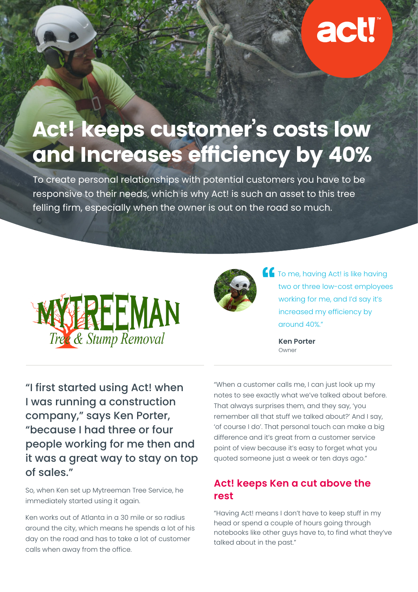# act!

## Act! keeps customer's costs low and Increases efficiency by 40%

To create personal relationships with potential customers you have to be responsive to their needs, which is why Act! is such an asset to this tree felling firm, especially when the owner is out on the road so much.





**The me, having Act! is like having** two or three low-cost employees working for me, and I'd say it's increased my efficiency by around 40%."

> **Ken Porter** Owner

"I first started using Act! when I was running a construction company," says Ken Porter, "because I had three or four people working for me then and it was a great way to stay on top of sales."

So, when Ken set up Mytreeman Tree Service, he immediately started using it again.

Ken works out of Atlanta in a 30 mile or so radius around the city, which means he spends a lot of his day on the road and has to take a lot of customer calls when away from the office.

"When a customer calls me, I can just look up my notes to see exactly what we've talked about before. That always surprises them, and they say, 'you remember all that stuff we talked about?' And I say, 'of course I do'. That personal touch can make a big difference and it's great from a customer service point of view because it's easy to forget what you quoted someone just a week or ten days ago."

#### **Act! keeps Ken a cut above the rest**

"Having Act! means I don't have to keep stuff in my head or spend a couple of hours going through notebooks like other guys have to, to find what they've talked about in the past."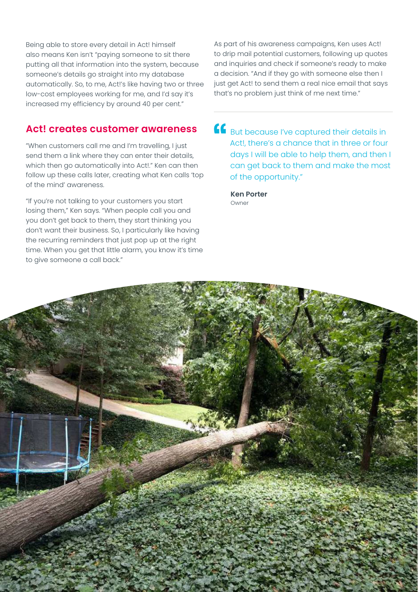Being able to store every detail in Act! himself also means Ken isn't "paying someone to sit there putting all that information into the system, because someone's details go straight into my database automatically. So, to me, Act!'s like having two or three low-cost employees working for me, and I'd say it's increased my efficiency by around 40 per cent."

#### **Act! creates customer awareness**

"When customers call me and I'm travelling, I just send them a link where they can enter their details, which then go automatically into Act!." Ken can then follow up these calls later, creating what Ken calls 'top of the mind' awareness.

"If you're not talking to your customers you start losing them," Ken says. "When people call you and you don't get back to them, they start thinking you don't want their business. So, I particularly like having the recurring reminders that just pop up at the right time. When you get that little alarm, you know it's time to give someone a call back."

As part of his awareness campaigns, Ken uses Act! to drip mail potential customers, following up quotes and inquiries and check if someone's ready to make a decision. "And if they go with someone else then I just get Act! to send them a real nice email that says that's no problem just think of me next time."

**CE** But because I've captured their details in Act!, there's a chance that in three or four days I will be able to help them, and then I can get back to them and make the most of the opportunity."

**Ken Porter** Owner